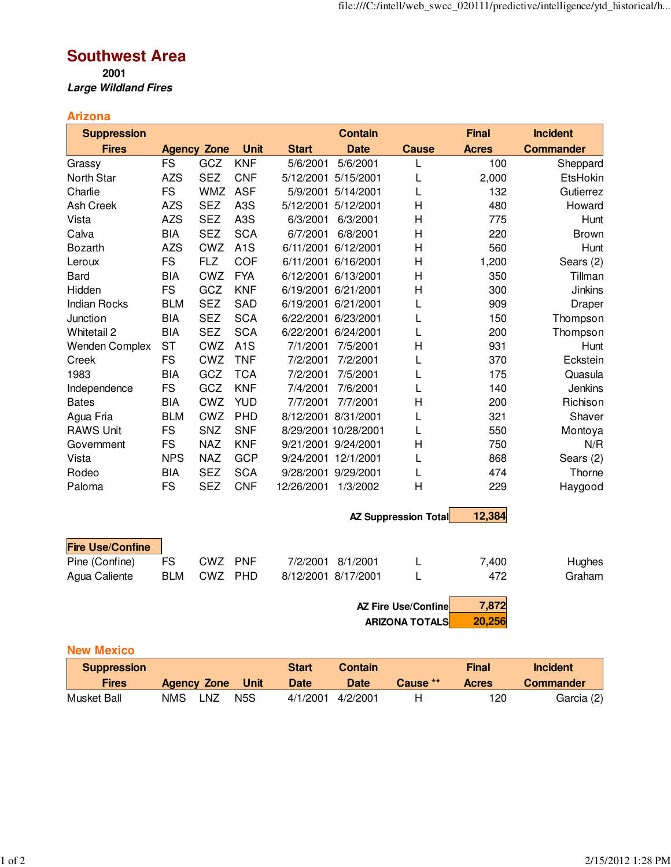## **Southwest Area**

**2001 Large Wildland Fires**

## **Arizona**

| <b>Suppression</b>      |            |                    |                  |              | <b>Contain</b>       |                             | <b>Final</b> | <b>Incident</b>  |
|-------------------------|------------|--------------------|------------------|--------------|----------------------|-----------------------------|--------------|------------------|
| <b>Fires</b>            |            | <b>Agency Zone</b> | <b>Unit</b>      | <b>Start</b> | <b>Date</b>          | <b>Cause</b>                | <b>Acres</b> | <b>Commander</b> |
| Grassy                  | <b>FS</b>  | GCZ                | <b>KNF</b>       | 5/6/2001     | 5/6/2001             | L                           | 100          | Sheppard         |
| North Star              | <b>AZS</b> | <b>SEZ</b>         | <b>CNF</b>       | 5/12/2001    | 5/15/2001            | L                           | 2,000        | EtsHokin         |
| Charlie                 | <b>FS</b>  | <b>WMZ</b>         | <b>ASF</b>       | 5/9/2001     | 5/14/2001            | L                           | 132          | Gutierrez        |
| <b>Ash Creek</b>        | <b>AZS</b> | <b>SEZ</b>         | A <sub>3</sub> S | 5/12/2001    | 5/12/2001            | H                           | 480          | Howard           |
| Vista                   | <b>AZS</b> | <b>SEZ</b>         | A <sub>3</sub> S | 6/3/2001     | 6/3/2001             | $\overline{\mathsf{H}}$     | 775          | Hunt             |
| Calva                   | <b>BIA</b> | <b>SEZ</b>         | <b>SCA</b>       | 6/7/2001     | 6/8/2001             | H                           | 220          | <b>Brown</b>     |
| <b>Bozarth</b>          | <b>AZS</b> | <b>CWZ</b>         | A <sub>1</sub> S | 6/11/2001    | 6/12/2001            | $\overline{\mathsf{H}}$     | 560          | Hunt             |
| Leroux                  | <b>FS</b>  | <b>FLZ</b>         | <b>COF</b>       | 6/11/2001    | 6/16/2001            | H                           | 1,200        | Sears (2)        |
| <b>Bard</b>             | <b>BIA</b> | CWZ                | <b>FYA</b>       | 6/12/2001    | 6/13/2001            | H                           | 350          | Tillman          |
| Hidden                  | <b>FS</b>  | GCZ                | <b>KNF</b>       | 6/19/2001    | 6/21/2001            | $\overline{\mathsf{H}}$     | 300          | <b>Jinkins</b>   |
| <b>Indian Rocks</b>     | <b>BLM</b> | <b>SEZ</b>         | <b>SAD</b>       | 6/19/2001    | 6/21/2001            | L                           | 909          | Draper           |
| Junction                | <b>BIA</b> | <b>SEZ</b>         | <b>SCA</b>       |              | 6/22/2001 6/23/2001  | L                           | 150          | Thompson         |
| Whitetail 2             | <b>BIA</b> | <b>SEZ</b>         | <b>SCA</b>       |              | 6/22/2001 6/24/2001  | L                           | 200          | Thompson         |
| <b>Wenden Complex</b>   | <b>ST</b>  | CWZ                | A <sub>1</sub> S | 7/1/2001     | 7/5/2001             | $\overline{H}$              | 931          | Hunt             |
| Creek                   | <b>FS</b>  | CWZ                | <b>TNF</b>       | 7/2/2001     | 7/2/2001             | L                           | 370          | Eckstein         |
| 1983                    | <b>BIA</b> | GCZ                | <b>TCA</b>       | 7/2/2001     | 7/5/2001             | L                           | 175          | Quasula          |
| Independence            | <b>FS</b>  | GCZ                | <b>KNF</b>       | 7/4/2001     | 7/6/2001             | L                           | 140          | Jenkins          |
| <b>Bates</b>            | <b>BIA</b> | CWZ                | <b>YUD</b>       | 7/7/2001     | 7/7/2001             | H                           | 200          | Richison         |
| Agua Fria               | <b>BLM</b> | <b>CWZ</b>         | PHD              |              | 8/12/2001 8/31/2001  | L                           | 321          | Shaver           |
| <b>RAWS Unit</b>        | <b>FS</b>  | SNZ                | <b>SNF</b>       |              | 8/29/2001 10/28/2001 | L                           | 550          | Montoya          |
| Government              | <b>FS</b>  | <b>NAZ</b>         | <b>KNF</b>       |              | 9/21/2001 9/24/2001  | $\overline{H}$              | 750          | N/R              |
| Vista                   | <b>NPS</b> | <b>NAZ</b>         | <b>GCP</b>       |              | 9/24/2001 12/1/2001  | L                           | 868          | Sears (2)        |
| Rodeo                   | <b>BIA</b> | <b>SEZ</b>         | <b>SCA</b>       |              | 9/28/2001 9/29/2001  | L                           | 474          | Thorne           |
| Paloma                  | <b>FS</b>  | <b>SEZ</b>         | <b>CNF</b>       | 12/26/2001   | 1/3/2002             | $\overline{H}$              | 229          | Haygood          |
|                         |            |                    |                  |              |                      | <b>AZ Suppression Total</b> | 12,384       |                  |
|                         |            |                    |                  |              |                      |                             |              |                  |
| <b>Fire Use/Confine</b> |            |                    |                  |              |                      |                             |              |                  |
| Pine (Confine)          | <b>FS</b>  | <b>CWZ</b>         | <b>PNF</b>       | 7/2/2001     | 8/1/2001             | L                           | 7,400        | Hughes           |
| Agua Caliente           | <b>BLM</b> | CWZ                | PHD              |              | 8/12/2001 8/17/2001  | L                           | 472          | Graham           |
|                         |            |                    |                  |              |                      | <b>AZ Fire Use/Confine</b>  | 7,872        |                  |

**ARIZONA TOTALS 20,256**

## **New Mexico**

| <b>Suppression</b> |     |                    |      | <b>Start</b> | <b>Contain</b> |          | Final | Incident         |
|--------------------|-----|--------------------|------|--------------|----------------|----------|-------|------------------|
| <b>Fires</b>       |     | <b>Agency Zone</b> | Unit | <b>Date</b>  | <b>Date</b>    | Cause ** | Acres | <b>Commander</b> |
| Musket Ball        | NMS | LNZ                | N5S  | 4/1/2001     | 4/2/2001       |          | 120   | Garcia (2)       |